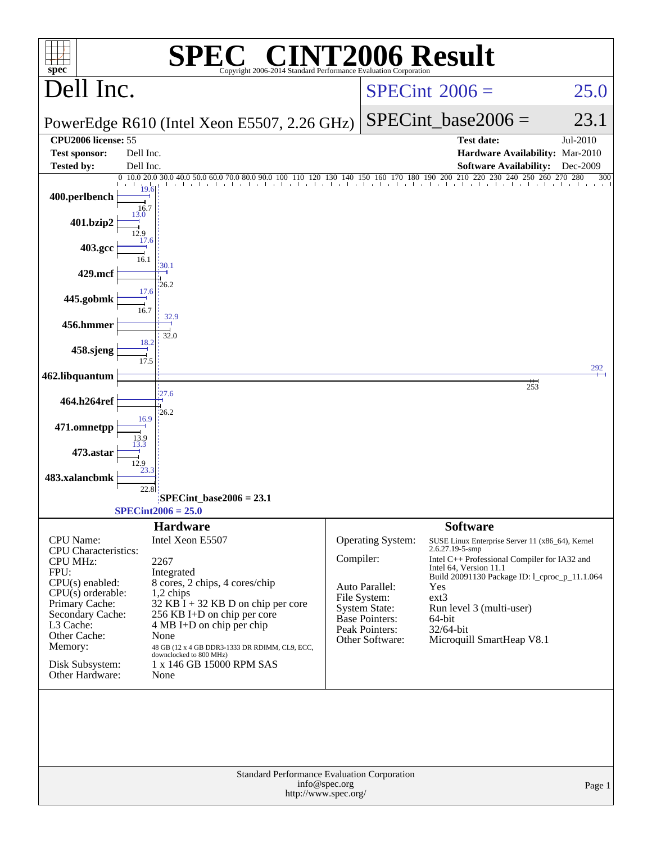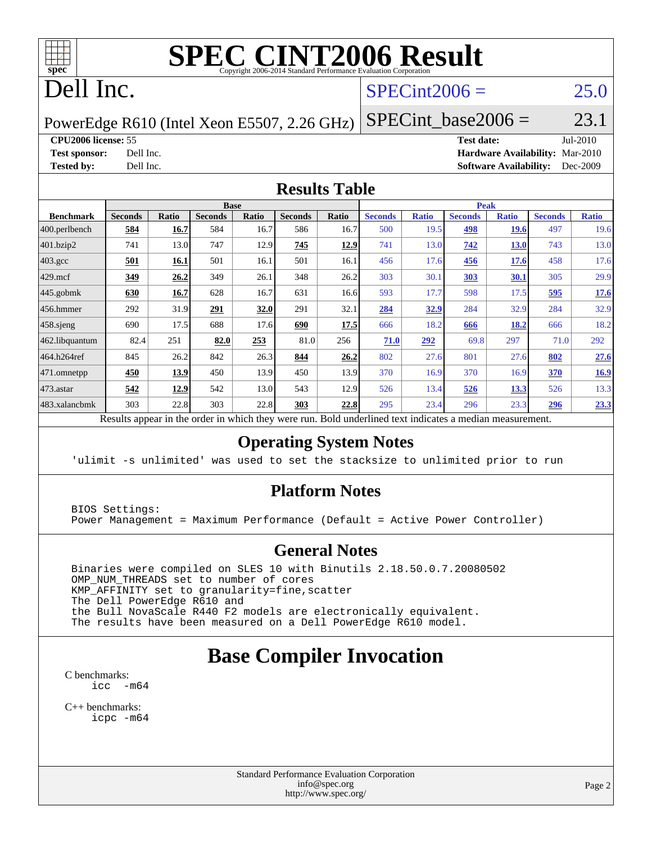

# **[SPEC CINT2006 Result](http://www.spec.org/auto/cpu2006/Docs/result-fields.html#SPECCINT2006Result)**

# Dell Inc.

### $SPECint2006 = 25.0$  $SPECint2006 = 25.0$

PowerEdge R610 (Intel Xeon E5507, 2.26 GHz)

SPECint base2006 =  $23.1$ 

**[CPU2006 license:](http://www.spec.org/auto/cpu2006/Docs/result-fields.html#CPU2006license)** 55 **[Test date:](http://www.spec.org/auto/cpu2006/Docs/result-fields.html#Testdate)** Jul-2010 **[Test sponsor:](http://www.spec.org/auto/cpu2006/Docs/result-fields.html#Testsponsor)** Dell Inc. **[Hardware Availability:](http://www.spec.org/auto/cpu2006/Docs/result-fields.html#HardwareAvailability)** Mar-2010 **[Tested by:](http://www.spec.org/auto/cpu2006/Docs/result-fields.html#Testedby)** Dell Inc. **[Software Availability:](http://www.spec.org/auto/cpu2006/Docs/result-fields.html#SoftwareAvailability)** Dec-2009

#### **[Results Table](http://www.spec.org/auto/cpu2006/Docs/result-fields.html#ResultsTable)**

|                  |                |       |                | <b>Base</b>  |                |        |                                          |              | <b>Peak</b>    |              |                |              |
|------------------|----------------|-------|----------------|--------------|----------------|--------|------------------------------------------|--------------|----------------|--------------|----------------|--------------|
| <b>Benchmark</b> | <b>Seconds</b> | Ratio | <b>Seconds</b> | <b>Ratio</b> | <b>Seconds</b> | Ratio  | <b>Seconds</b>                           | <b>Ratio</b> | <b>Seconds</b> | <b>Ratio</b> | <b>Seconds</b> | <b>Ratio</b> |
| 400.perlbench    | 584            | 16.7  | 584            | 16.7         | 586            | 16.7   | 500                                      | 19.5         | 498            | <b>19.6</b>  | 497            | 19.6         |
| 401.bzip2        | 741            | 13.0  | 747            | 12.9         | 745            | 12.9   | 741                                      | 13.0         | 742            | <b>13.0</b>  | 743            | 13.0         |
| $403.\text{gcc}$ | 501            | 16.1  | 501            | 16.1         | 501            | 16.1   | 456                                      | 17.6         | 456            | 17.6         | 458            | 17.6         |
| $429$ .mcf       | 349            | 26.2  | 349            | 26.1         | 348            | 26.2   | 303                                      | 30.1         | <u>303</u>     | <u>30.1</u>  | 305            | 29.9         |
| $445$ .gobmk     | 630            | 16.7  | 628            | 16.7         | 631            | 16.6   | 593                                      | 17.7         | 598            | 17.5         | 595            | 17.6         |
| 456.hmmer        | 292            | 31.9  | 291            | 32.0         | 291            | 32.1   | 284                                      | 32.9         | 284            | 32.9         | 284            | 32.9         |
| $458$ .sjeng     | 690            | 17.5  | 688            | 17.6         | 690            | 17.5   | 666                                      | 18.2         | 666            | 18.2         | 666            | 18.2         |
| 462.libquantum   | 82.4           | 251   | 82.0           | 253          | 81.0           | 256    | 71.0                                     | 292          | 69.8           | 297          | 71.0           | 292          |
| 464.h264ref      | 845            | 26.2  | 842            | 26.3         | 844            | 26.2   | 802                                      | 27.6         | 801            | 27.6         | 802            | 27.6         |
| 471.omnetpp      | 450            | 13.9  | 450            | 13.9         | 450            | 13.9   | 370                                      | 16.9         | 370            | 16.9         | 370            | 16.9         |
| 473.astar        | 542            | 12.9  | 542            | 13.0         | 543            | 12.9   | 526                                      | 13.4         | 526            | <u>13.3</u>  | 526            | 13.3         |
| 483.xalancbmk    | 303            | 22.8  | 303            | 22.8         | 303            | 22.8   | 295                                      | 23.4         | 296            | 23.3         | 296            | 23.3         |
| n.               | 1.1            |       |                | 1.1.1        |                | $n$ 11 | $1 \quad 1$<br>$\mathbf{1}$ $\mathbf{1}$ | $\cdot$      | $\mathbf{1}$   |              |                |              |

Results appear in the [order in which they were run.](http://www.spec.org/auto/cpu2006/Docs/result-fields.html#RunOrder) Bold underlined text [indicates a median measurement.](http://www.spec.org/auto/cpu2006/Docs/result-fields.html#Median)

#### **[Operating System Notes](http://www.spec.org/auto/cpu2006/Docs/result-fields.html#OperatingSystemNotes)**

'ulimit -s unlimited' was used to set the stacksize to unlimited prior to run

#### **[Platform Notes](http://www.spec.org/auto/cpu2006/Docs/result-fields.html#PlatformNotes)**

 BIOS Settings: Power Management = Maximum Performance (Default = Active Power Controller)

#### **[General Notes](http://www.spec.org/auto/cpu2006/Docs/result-fields.html#GeneralNotes)**

 Binaries were compiled on SLES 10 with Binutils 2.18.50.0.7.20080502 OMP\_NUM\_THREADS set to number of cores KMP\_AFFINITY set to granularity=fine,scatter The Dell PowerEdge R610 and the Bull NovaScale R440 F2 models are electronically equivalent. The results have been measured on a Dell PowerEdge R610 model.

## **[Base Compiler Invocation](http://www.spec.org/auto/cpu2006/Docs/result-fields.html#BaseCompilerInvocation)**

[C benchmarks](http://www.spec.org/auto/cpu2006/Docs/result-fields.html#Cbenchmarks): [icc -m64](http://www.spec.org/cpu2006/results/res2010q3/cpu2006-20100719-12610.flags.html#user_CCbase_intel_icc_64bit_f346026e86af2a669e726fe758c88044)

[C++ benchmarks:](http://www.spec.org/auto/cpu2006/Docs/result-fields.html#CXXbenchmarks) [icpc -m64](http://www.spec.org/cpu2006/results/res2010q3/cpu2006-20100719-12610.flags.html#user_CXXbase_intel_icpc_64bit_fc66a5337ce925472a5c54ad6a0de310)

> Standard Performance Evaluation Corporation [info@spec.org](mailto:info@spec.org) <http://www.spec.org/>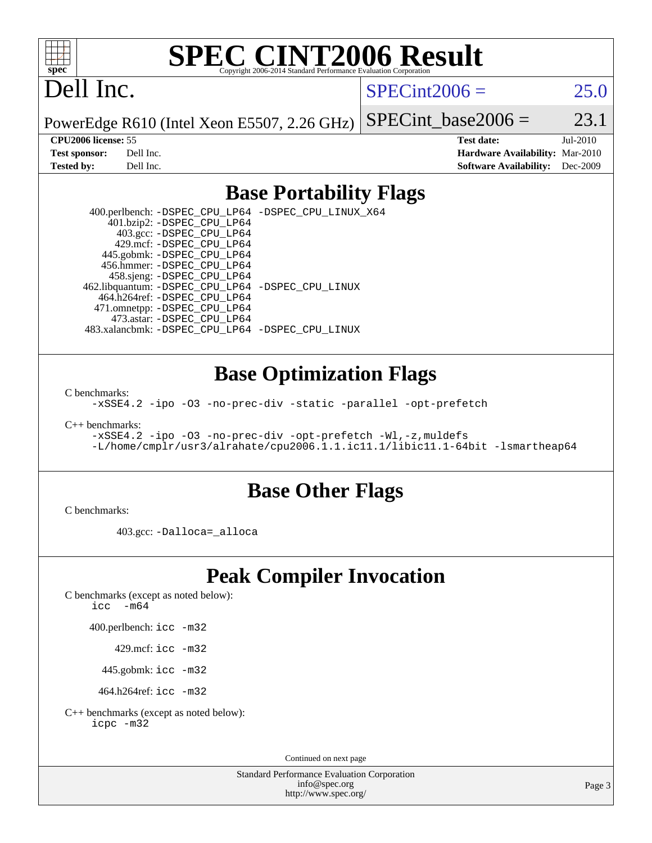

# **[SPEC CINT2006 Result](http://www.spec.org/auto/cpu2006/Docs/result-fields.html#SPECCINT2006Result)**

# Dell Inc.

 $SPECint2006 = 25.0$  $SPECint2006 = 25.0$ 

PowerEdge R610 (Intel Xeon E5507, 2.26 GHz) SPECint base2006 =  $23.1$ 

**[CPU2006 license:](http://www.spec.org/auto/cpu2006/Docs/result-fields.html#CPU2006license)** 55 **[Test date:](http://www.spec.org/auto/cpu2006/Docs/result-fields.html#Testdate)** Jul-2010 **[Test sponsor:](http://www.spec.org/auto/cpu2006/Docs/result-fields.html#Testsponsor)** Dell Inc. **[Hardware Availability:](http://www.spec.org/auto/cpu2006/Docs/result-fields.html#HardwareAvailability)** Mar-2010 **[Tested by:](http://www.spec.org/auto/cpu2006/Docs/result-fields.html#Testedby)** Dell Inc. **[Software Availability:](http://www.spec.org/auto/cpu2006/Docs/result-fields.html#SoftwareAvailability)** Dec-2009

### **[Base Portability Flags](http://www.spec.org/auto/cpu2006/Docs/result-fields.html#BasePortabilityFlags)**

 400.perlbench: [-DSPEC\\_CPU\\_LP64](http://www.spec.org/cpu2006/results/res2010q3/cpu2006-20100719-12610.flags.html#b400.perlbench_basePORTABILITY_DSPEC_CPU_LP64) [-DSPEC\\_CPU\\_LINUX\\_X64](http://www.spec.org/cpu2006/results/res2010q3/cpu2006-20100719-12610.flags.html#b400.perlbench_baseCPORTABILITY_DSPEC_CPU_LINUX_X64) 401.bzip2: [-DSPEC\\_CPU\\_LP64](http://www.spec.org/cpu2006/results/res2010q3/cpu2006-20100719-12610.flags.html#suite_basePORTABILITY401_bzip2_DSPEC_CPU_LP64) 403.gcc: [-DSPEC\\_CPU\\_LP64](http://www.spec.org/cpu2006/results/res2010q3/cpu2006-20100719-12610.flags.html#suite_basePORTABILITY403_gcc_DSPEC_CPU_LP64) 429.mcf: [-DSPEC\\_CPU\\_LP64](http://www.spec.org/cpu2006/results/res2010q3/cpu2006-20100719-12610.flags.html#suite_basePORTABILITY429_mcf_DSPEC_CPU_LP64) 445.gobmk: [-DSPEC\\_CPU\\_LP64](http://www.spec.org/cpu2006/results/res2010q3/cpu2006-20100719-12610.flags.html#suite_basePORTABILITY445_gobmk_DSPEC_CPU_LP64) 456.hmmer: [-DSPEC\\_CPU\\_LP64](http://www.spec.org/cpu2006/results/res2010q3/cpu2006-20100719-12610.flags.html#suite_basePORTABILITY456_hmmer_DSPEC_CPU_LP64) 458.sjeng: [-DSPEC\\_CPU\\_LP64](http://www.spec.org/cpu2006/results/res2010q3/cpu2006-20100719-12610.flags.html#suite_basePORTABILITY458_sjeng_DSPEC_CPU_LP64) 462.libquantum: [-DSPEC\\_CPU\\_LP64](http://www.spec.org/cpu2006/results/res2010q3/cpu2006-20100719-12610.flags.html#suite_basePORTABILITY462_libquantum_DSPEC_CPU_LP64) [-DSPEC\\_CPU\\_LINUX](http://www.spec.org/cpu2006/results/res2010q3/cpu2006-20100719-12610.flags.html#b462.libquantum_baseCPORTABILITY_DSPEC_CPU_LINUX) 464.h264ref: [-DSPEC\\_CPU\\_LP64](http://www.spec.org/cpu2006/results/res2010q3/cpu2006-20100719-12610.flags.html#suite_basePORTABILITY464_h264ref_DSPEC_CPU_LP64) 471.omnetpp: [-DSPEC\\_CPU\\_LP64](http://www.spec.org/cpu2006/results/res2010q3/cpu2006-20100719-12610.flags.html#suite_basePORTABILITY471_omnetpp_DSPEC_CPU_LP64) 473.astar: [-DSPEC\\_CPU\\_LP64](http://www.spec.org/cpu2006/results/res2010q3/cpu2006-20100719-12610.flags.html#suite_basePORTABILITY473_astar_DSPEC_CPU_LP64) 483.xalancbmk: [-DSPEC\\_CPU\\_LP64](http://www.spec.org/cpu2006/results/res2010q3/cpu2006-20100719-12610.flags.html#suite_basePORTABILITY483_xalancbmk_DSPEC_CPU_LP64) [-DSPEC\\_CPU\\_LINUX](http://www.spec.org/cpu2006/results/res2010q3/cpu2006-20100719-12610.flags.html#b483.xalancbmk_baseCXXPORTABILITY_DSPEC_CPU_LINUX)

#### **[Base Optimization Flags](http://www.spec.org/auto/cpu2006/Docs/result-fields.html#BaseOptimizationFlags)**

[C benchmarks](http://www.spec.org/auto/cpu2006/Docs/result-fields.html#Cbenchmarks):

[-xSSE4.2](http://www.spec.org/cpu2006/results/res2010q3/cpu2006-20100719-12610.flags.html#user_CCbase_f-xSSE42_f91528193cf0b216347adb8b939d4107) [-ipo](http://www.spec.org/cpu2006/results/res2010q3/cpu2006-20100719-12610.flags.html#user_CCbase_f-ipo) [-O3](http://www.spec.org/cpu2006/results/res2010q3/cpu2006-20100719-12610.flags.html#user_CCbase_f-O3) [-no-prec-div](http://www.spec.org/cpu2006/results/res2010q3/cpu2006-20100719-12610.flags.html#user_CCbase_f-no-prec-div) [-static](http://www.spec.org/cpu2006/results/res2010q3/cpu2006-20100719-12610.flags.html#user_CCbase_f-static) [-parallel](http://www.spec.org/cpu2006/results/res2010q3/cpu2006-20100719-12610.flags.html#user_CCbase_f-parallel) [-opt-prefetch](http://www.spec.org/cpu2006/results/res2010q3/cpu2006-20100719-12610.flags.html#user_CCbase_f-opt-prefetch)

[C++ benchmarks:](http://www.spec.org/auto/cpu2006/Docs/result-fields.html#CXXbenchmarks)

[-xSSE4.2](http://www.spec.org/cpu2006/results/res2010q3/cpu2006-20100719-12610.flags.html#user_CXXbase_f-xSSE42_f91528193cf0b216347adb8b939d4107) [-ipo](http://www.spec.org/cpu2006/results/res2010q3/cpu2006-20100719-12610.flags.html#user_CXXbase_f-ipo) [-O3](http://www.spec.org/cpu2006/results/res2010q3/cpu2006-20100719-12610.flags.html#user_CXXbase_f-O3) [-no-prec-div](http://www.spec.org/cpu2006/results/res2010q3/cpu2006-20100719-12610.flags.html#user_CXXbase_f-no-prec-div) [-opt-prefetch](http://www.spec.org/cpu2006/results/res2010q3/cpu2006-20100719-12610.flags.html#user_CXXbase_f-opt-prefetch) [-Wl,-z,muldefs](http://www.spec.org/cpu2006/results/res2010q3/cpu2006-20100719-12610.flags.html#user_CXXbase_link_force_multiple1_74079c344b956b9658436fd1b6dd3a8a) [-L/home/cmplr/usr3/alrahate/cpu2006.1.1.ic11.1/libic11.1-64bit -lsmartheap64](http://www.spec.org/cpu2006/results/res2010q3/cpu2006-20100719-12610.flags.html#user_CXXbase_SmartHeap64_e2306cda84805d1ab360117a79ff779c)

#### **[Base Other Flags](http://www.spec.org/auto/cpu2006/Docs/result-fields.html#BaseOtherFlags)**

[C benchmarks](http://www.spec.org/auto/cpu2006/Docs/result-fields.html#Cbenchmarks):

403.gcc: [-Dalloca=\\_alloca](http://www.spec.org/cpu2006/results/res2010q3/cpu2006-20100719-12610.flags.html#b403.gcc_baseEXTRA_CFLAGS_Dalloca_be3056838c12de2578596ca5467af7f3)

## **[Peak Compiler Invocation](http://www.spec.org/auto/cpu2006/Docs/result-fields.html#PeakCompilerInvocation)**

[C benchmarks \(except as noted below\)](http://www.spec.org/auto/cpu2006/Docs/result-fields.html#Cbenchmarksexceptasnotedbelow):

icc  $-m64$ 

400.perlbench: [icc -m32](http://www.spec.org/cpu2006/results/res2010q3/cpu2006-20100719-12610.flags.html#user_peakCCLD400_perlbench_intel_icc_32bit_a6a621f8d50482236b970c6ac5f55f93)

429.mcf: [icc -m32](http://www.spec.org/cpu2006/results/res2010q3/cpu2006-20100719-12610.flags.html#user_peakCCLD429_mcf_intel_icc_32bit_a6a621f8d50482236b970c6ac5f55f93)

445.gobmk: [icc -m32](http://www.spec.org/cpu2006/results/res2010q3/cpu2006-20100719-12610.flags.html#user_peakCCLD445_gobmk_intel_icc_32bit_a6a621f8d50482236b970c6ac5f55f93)

464.h264ref: [icc -m32](http://www.spec.org/cpu2006/results/res2010q3/cpu2006-20100719-12610.flags.html#user_peakCCLD464_h264ref_intel_icc_32bit_a6a621f8d50482236b970c6ac5f55f93)

[C++ benchmarks \(except as noted below\):](http://www.spec.org/auto/cpu2006/Docs/result-fields.html#CXXbenchmarksexceptasnotedbelow) [icpc -m32](http://www.spec.org/cpu2006/results/res2010q3/cpu2006-20100719-12610.flags.html#user_CXXpeak_intel_icpc_32bit_4e5a5ef1a53fd332b3c49e69c3330699)

Continued on next page

Standard Performance Evaluation Corporation [info@spec.org](mailto:info@spec.org) <http://www.spec.org/>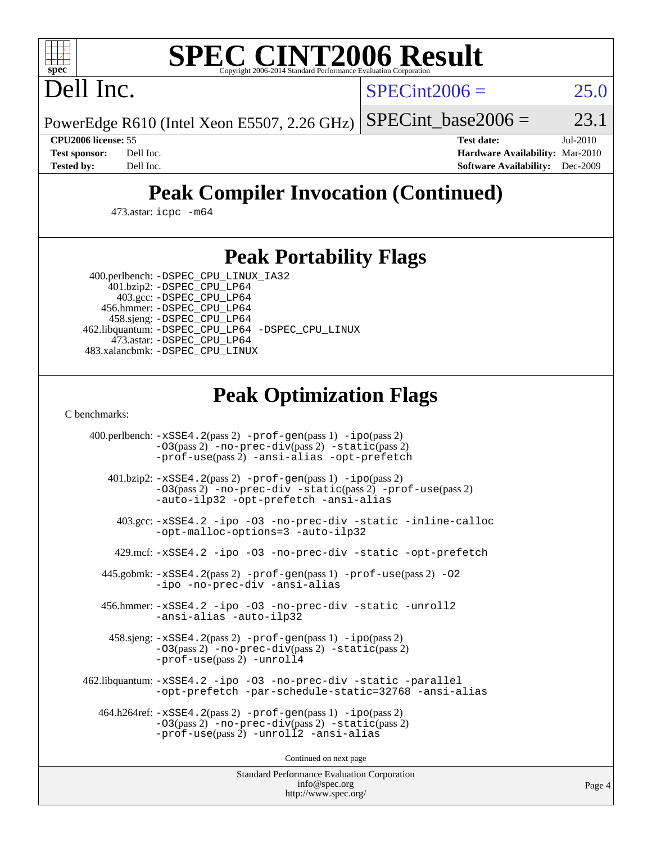

# **[SPEC CINT2006 Result](http://www.spec.org/auto/cpu2006/Docs/result-fields.html#SPECCINT2006Result)**

Dell Inc.

 $SPECint2006 = 25.0$  $SPECint2006 = 25.0$ 

PowerEdge R610 (Intel Xeon E5507, 2.26 GHz) SPECint base2006 =  $23.1$ 

**[CPU2006 license:](http://www.spec.org/auto/cpu2006/Docs/result-fields.html#CPU2006license)** 55 **[Test date:](http://www.spec.org/auto/cpu2006/Docs/result-fields.html#Testdate)** Jul-2010 **[Test sponsor:](http://www.spec.org/auto/cpu2006/Docs/result-fields.html#Testsponsor)** Dell Inc. **[Hardware Availability:](http://www.spec.org/auto/cpu2006/Docs/result-fields.html#HardwareAvailability)** Mar-2010 **[Tested by:](http://www.spec.org/auto/cpu2006/Docs/result-fields.html#Testedby)** Dell Inc. **[Software Availability:](http://www.spec.org/auto/cpu2006/Docs/result-fields.html#SoftwareAvailability)** Dec-2009

# **[Peak Compiler Invocation \(Continued\)](http://www.spec.org/auto/cpu2006/Docs/result-fields.html#PeakCompilerInvocation)**

473.astar: [icpc -m64](http://www.spec.org/cpu2006/results/res2010q3/cpu2006-20100719-12610.flags.html#user_peakCXXLD473_astar_intel_icpc_64bit_fc66a5337ce925472a5c54ad6a0de310)

### **[Peak Portability Flags](http://www.spec.org/auto/cpu2006/Docs/result-fields.html#PeakPortabilityFlags)**

400.perlbench: [-DSPEC\\_CPU\\_LINUX\\_IA32](http://www.spec.org/cpu2006/results/res2010q3/cpu2006-20100719-12610.flags.html#b400.perlbench_peakCPORTABILITY_DSPEC_CPU_LINUX_IA32)

 401.bzip2: [-DSPEC\\_CPU\\_LP64](http://www.spec.org/cpu2006/results/res2010q3/cpu2006-20100719-12610.flags.html#suite_peakPORTABILITY401_bzip2_DSPEC_CPU_LP64) 403.gcc: [-DSPEC\\_CPU\\_LP64](http://www.spec.org/cpu2006/results/res2010q3/cpu2006-20100719-12610.flags.html#suite_peakPORTABILITY403_gcc_DSPEC_CPU_LP64) 456.hmmer: [-DSPEC\\_CPU\\_LP64](http://www.spec.org/cpu2006/results/res2010q3/cpu2006-20100719-12610.flags.html#suite_peakPORTABILITY456_hmmer_DSPEC_CPU_LP64) 458.sjeng: [-DSPEC\\_CPU\\_LP64](http://www.spec.org/cpu2006/results/res2010q3/cpu2006-20100719-12610.flags.html#suite_peakPORTABILITY458_sjeng_DSPEC_CPU_LP64) 462.libquantum: [-DSPEC\\_CPU\\_LP64](http://www.spec.org/cpu2006/results/res2010q3/cpu2006-20100719-12610.flags.html#suite_peakPORTABILITY462_libquantum_DSPEC_CPU_LP64) [-DSPEC\\_CPU\\_LINUX](http://www.spec.org/cpu2006/results/res2010q3/cpu2006-20100719-12610.flags.html#b462.libquantum_peakCPORTABILITY_DSPEC_CPU_LINUX) 473.astar: [-DSPEC\\_CPU\\_LP64](http://www.spec.org/cpu2006/results/res2010q3/cpu2006-20100719-12610.flags.html#suite_peakPORTABILITY473_astar_DSPEC_CPU_LP64) 483.xalancbmk: [-DSPEC\\_CPU\\_LINUX](http://www.spec.org/cpu2006/results/res2010q3/cpu2006-20100719-12610.flags.html#b483.xalancbmk_peakCXXPORTABILITY_DSPEC_CPU_LINUX)

## **[Peak Optimization Flags](http://www.spec.org/auto/cpu2006/Docs/result-fields.html#PeakOptimizationFlags)**

[C benchmarks](http://www.spec.org/auto/cpu2006/Docs/result-fields.html#Cbenchmarks):

 400.perlbench: [-xSSE4.2](http://www.spec.org/cpu2006/results/res2010q3/cpu2006-20100719-12610.flags.html#user_peakPASS2_CFLAGSPASS2_LDCFLAGS400_perlbench_f-xSSE42_f91528193cf0b216347adb8b939d4107)(pass 2) [-prof-gen](http://www.spec.org/cpu2006/results/res2010q3/cpu2006-20100719-12610.flags.html#user_peakPASS1_CFLAGSPASS1_LDCFLAGS400_perlbench_prof_gen_e43856698f6ca7b7e442dfd80e94a8fc)(pass 1) [-ipo](http://www.spec.org/cpu2006/results/res2010q3/cpu2006-20100719-12610.flags.html#user_peakPASS2_CFLAGSPASS2_LDCFLAGS400_perlbench_f-ipo)(pass 2) [-O3](http://www.spec.org/cpu2006/results/res2010q3/cpu2006-20100719-12610.flags.html#user_peakPASS2_CFLAGSPASS2_LDCFLAGS400_perlbench_f-O3)(pass 2) [-no-prec-div](http://www.spec.org/cpu2006/results/res2010q3/cpu2006-20100719-12610.flags.html#user_peakPASS2_CFLAGSPASS2_LDCFLAGS400_perlbench_f-no-prec-div)(pass 2) [-static](http://www.spec.org/cpu2006/results/res2010q3/cpu2006-20100719-12610.flags.html#user_peakPASS2_CFLAGSPASS2_LDCFLAGS400_perlbench_f-static)(pass 2) [-prof-use](http://www.spec.org/cpu2006/results/res2010q3/cpu2006-20100719-12610.flags.html#user_peakPASS2_CFLAGSPASS2_LDCFLAGS400_perlbench_prof_use_bccf7792157ff70d64e32fe3e1250b55)(pass 2) [-ansi-alias](http://www.spec.org/cpu2006/results/res2010q3/cpu2006-20100719-12610.flags.html#user_peakCOPTIMIZE400_perlbench_f-ansi-alias) [-opt-prefetch](http://www.spec.org/cpu2006/results/res2010q3/cpu2006-20100719-12610.flags.html#user_peakCOPTIMIZE400_perlbench_f-opt-prefetch) 401.bzip2: [-xSSE4.2](http://www.spec.org/cpu2006/results/res2010q3/cpu2006-20100719-12610.flags.html#user_peakPASS2_CFLAGSPASS2_LDCFLAGS401_bzip2_f-xSSE42_f91528193cf0b216347adb8b939d4107)(pass 2) [-prof-gen](http://www.spec.org/cpu2006/results/res2010q3/cpu2006-20100719-12610.flags.html#user_peakPASS1_CFLAGSPASS1_LDCFLAGS401_bzip2_prof_gen_e43856698f6ca7b7e442dfd80e94a8fc)(pass 1) [-ipo](http://www.spec.org/cpu2006/results/res2010q3/cpu2006-20100719-12610.flags.html#user_peakPASS2_CFLAGSPASS2_LDCFLAGS401_bzip2_f-ipo)(pass 2) [-O3](http://www.spec.org/cpu2006/results/res2010q3/cpu2006-20100719-12610.flags.html#user_peakPASS2_CFLAGSPASS2_LDCFLAGS401_bzip2_f-O3)(pass 2) [-no-prec-div](http://www.spec.org/cpu2006/results/res2010q3/cpu2006-20100719-12610.flags.html#user_peakCOPTIMIZEPASS2_CFLAGSPASS2_LDCFLAGS401_bzip2_f-no-prec-div) [-static](http://www.spec.org/cpu2006/results/res2010q3/cpu2006-20100719-12610.flags.html#user_peakPASS2_CFLAGSPASS2_LDCFLAGS401_bzip2_f-static)(pass 2) [-prof-use](http://www.spec.org/cpu2006/results/res2010q3/cpu2006-20100719-12610.flags.html#user_peakPASS2_CFLAGSPASS2_LDCFLAGS401_bzip2_prof_use_bccf7792157ff70d64e32fe3e1250b55)(pass 2) [-auto-ilp32](http://www.spec.org/cpu2006/results/res2010q3/cpu2006-20100719-12610.flags.html#user_peakCOPTIMIZE401_bzip2_f-auto-ilp32) [-opt-prefetch](http://www.spec.org/cpu2006/results/res2010q3/cpu2006-20100719-12610.flags.html#user_peakCOPTIMIZE401_bzip2_f-opt-prefetch) [-ansi-alias](http://www.spec.org/cpu2006/results/res2010q3/cpu2006-20100719-12610.flags.html#user_peakCOPTIMIZE401_bzip2_f-ansi-alias) 403.gcc: [-xSSE4.2](http://www.spec.org/cpu2006/results/res2010q3/cpu2006-20100719-12610.flags.html#user_peakCOPTIMIZE403_gcc_f-xSSE42_f91528193cf0b216347adb8b939d4107) [-ipo](http://www.spec.org/cpu2006/results/res2010q3/cpu2006-20100719-12610.flags.html#user_peakCOPTIMIZE403_gcc_f-ipo) [-O3](http://www.spec.org/cpu2006/results/res2010q3/cpu2006-20100719-12610.flags.html#user_peakCOPTIMIZE403_gcc_f-O3) [-no-prec-div](http://www.spec.org/cpu2006/results/res2010q3/cpu2006-20100719-12610.flags.html#user_peakCOPTIMIZE403_gcc_f-no-prec-div) [-static](http://www.spec.org/cpu2006/results/res2010q3/cpu2006-20100719-12610.flags.html#user_peakCOPTIMIZE403_gcc_f-static) [-inline-calloc](http://www.spec.org/cpu2006/results/res2010q3/cpu2006-20100719-12610.flags.html#user_peakCOPTIMIZE403_gcc_f-inline-calloc) [-opt-malloc-options=3](http://www.spec.org/cpu2006/results/res2010q3/cpu2006-20100719-12610.flags.html#user_peakCOPTIMIZE403_gcc_f-opt-malloc-options_13ab9b803cf986b4ee62f0a5998c2238) [-auto-ilp32](http://www.spec.org/cpu2006/results/res2010q3/cpu2006-20100719-12610.flags.html#user_peakCOPTIMIZE403_gcc_f-auto-ilp32) 429.mcf: [-xSSE4.2](http://www.spec.org/cpu2006/results/res2010q3/cpu2006-20100719-12610.flags.html#user_peakCOPTIMIZE429_mcf_f-xSSE42_f91528193cf0b216347adb8b939d4107) [-ipo](http://www.spec.org/cpu2006/results/res2010q3/cpu2006-20100719-12610.flags.html#user_peakCOPTIMIZE429_mcf_f-ipo) [-O3](http://www.spec.org/cpu2006/results/res2010q3/cpu2006-20100719-12610.flags.html#user_peakCOPTIMIZE429_mcf_f-O3) [-no-prec-div](http://www.spec.org/cpu2006/results/res2010q3/cpu2006-20100719-12610.flags.html#user_peakCOPTIMIZE429_mcf_f-no-prec-div) [-static](http://www.spec.org/cpu2006/results/res2010q3/cpu2006-20100719-12610.flags.html#user_peakCOPTIMIZE429_mcf_f-static) [-opt-prefetch](http://www.spec.org/cpu2006/results/res2010q3/cpu2006-20100719-12610.flags.html#user_peakCOPTIMIZE429_mcf_f-opt-prefetch) 445.gobmk: [-xSSE4.2](http://www.spec.org/cpu2006/results/res2010q3/cpu2006-20100719-12610.flags.html#user_peakPASS2_CFLAGSPASS2_LDCFLAGS445_gobmk_f-xSSE42_f91528193cf0b216347adb8b939d4107)(pass 2) [-prof-gen](http://www.spec.org/cpu2006/results/res2010q3/cpu2006-20100719-12610.flags.html#user_peakPASS1_CFLAGSPASS1_LDCFLAGS445_gobmk_prof_gen_e43856698f6ca7b7e442dfd80e94a8fc)(pass 1) [-prof-use](http://www.spec.org/cpu2006/results/res2010q3/cpu2006-20100719-12610.flags.html#user_peakPASS2_CFLAGSPASS2_LDCFLAGS445_gobmk_prof_use_bccf7792157ff70d64e32fe3e1250b55)(pass 2) [-O2](http://www.spec.org/cpu2006/results/res2010q3/cpu2006-20100719-12610.flags.html#user_peakCOPTIMIZE445_gobmk_f-O2) [-ipo](http://www.spec.org/cpu2006/results/res2010q3/cpu2006-20100719-12610.flags.html#user_peakCOPTIMIZE445_gobmk_f-ipo) [-no-prec-div](http://www.spec.org/cpu2006/results/res2010q3/cpu2006-20100719-12610.flags.html#user_peakCOPTIMIZE445_gobmk_f-no-prec-div) [-ansi-alias](http://www.spec.org/cpu2006/results/res2010q3/cpu2006-20100719-12610.flags.html#user_peakCOPTIMIZE445_gobmk_f-ansi-alias) 456.hmmer: [-xSSE4.2](http://www.spec.org/cpu2006/results/res2010q3/cpu2006-20100719-12610.flags.html#user_peakCOPTIMIZE456_hmmer_f-xSSE42_f91528193cf0b216347adb8b939d4107) [-ipo](http://www.spec.org/cpu2006/results/res2010q3/cpu2006-20100719-12610.flags.html#user_peakCOPTIMIZE456_hmmer_f-ipo) [-O3](http://www.spec.org/cpu2006/results/res2010q3/cpu2006-20100719-12610.flags.html#user_peakCOPTIMIZE456_hmmer_f-O3) [-no-prec-div](http://www.spec.org/cpu2006/results/res2010q3/cpu2006-20100719-12610.flags.html#user_peakCOPTIMIZE456_hmmer_f-no-prec-div) [-static](http://www.spec.org/cpu2006/results/res2010q3/cpu2006-20100719-12610.flags.html#user_peakCOPTIMIZE456_hmmer_f-static) [-unroll2](http://www.spec.org/cpu2006/results/res2010q3/cpu2006-20100719-12610.flags.html#user_peakCOPTIMIZE456_hmmer_f-unroll_784dae83bebfb236979b41d2422d7ec2) [-ansi-alias](http://www.spec.org/cpu2006/results/res2010q3/cpu2006-20100719-12610.flags.html#user_peakCOPTIMIZE456_hmmer_f-ansi-alias) [-auto-ilp32](http://www.spec.org/cpu2006/results/res2010q3/cpu2006-20100719-12610.flags.html#user_peakCOPTIMIZE456_hmmer_f-auto-ilp32) 458.sjeng: [-xSSE4.2](http://www.spec.org/cpu2006/results/res2010q3/cpu2006-20100719-12610.flags.html#user_peakPASS2_CFLAGSPASS2_LDCFLAGS458_sjeng_f-xSSE42_f91528193cf0b216347adb8b939d4107)(pass 2) [-prof-gen](http://www.spec.org/cpu2006/results/res2010q3/cpu2006-20100719-12610.flags.html#user_peakPASS1_CFLAGSPASS1_LDCFLAGS458_sjeng_prof_gen_e43856698f6ca7b7e442dfd80e94a8fc)(pass 1) [-ipo](http://www.spec.org/cpu2006/results/res2010q3/cpu2006-20100719-12610.flags.html#user_peakPASS2_CFLAGSPASS2_LDCFLAGS458_sjeng_f-ipo)(pass 2) [-O3](http://www.spec.org/cpu2006/results/res2010q3/cpu2006-20100719-12610.flags.html#user_peakPASS2_CFLAGSPASS2_LDCFLAGS458_sjeng_f-O3)(pass 2) [-no-prec-div](http://www.spec.org/cpu2006/results/res2010q3/cpu2006-20100719-12610.flags.html#user_peakPASS2_CFLAGSPASS2_LDCFLAGS458_sjeng_f-no-prec-div)(pass 2) [-static](http://www.spec.org/cpu2006/results/res2010q3/cpu2006-20100719-12610.flags.html#user_peakPASS2_CFLAGSPASS2_LDCFLAGS458_sjeng_f-static)(pass 2) [-prof-use](http://www.spec.org/cpu2006/results/res2010q3/cpu2006-20100719-12610.flags.html#user_peakPASS2_CFLAGSPASS2_LDCFLAGS458_sjeng_prof_use_bccf7792157ff70d64e32fe3e1250b55)(pass 2) [-unroll4](http://www.spec.org/cpu2006/results/res2010q3/cpu2006-20100719-12610.flags.html#user_peakCOPTIMIZE458_sjeng_f-unroll_4e5e4ed65b7fd20bdcd365bec371b81f) 462.libquantum: [-xSSE4.2](http://www.spec.org/cpu2006/results/res2010q3/cpu2006-20100719-12610.flags.html#user_peakCOPTIMIZE462_libquantum_f-xSSE42_f91528193cf0b216347adb8b939d4107) [-ipo](http://www.spec.org/cpu2006/results/res2010q3/cpu2006-20100719-12610.flags.html#user_peakCOPTIMIZE462_libquantum_f-ipo) [-O3](http://www.spec.org/cpu2006/results/res2010q3/cpu2006-20100719-12610.flags.html#user_peakCOPTIMIZE462_libquantum_f-O3) [-no-prec-div](http://www.spec.org/cpu2006/results/res2010q3/cpu2006-20100719-12610.flags.html#user_peakCOPTIMIZE462_libquantum_f-no-prec-div) [-static](http://www.spec.org/cpu2006/results/res2010q3/cpu2006-20100719-12610.flags.html#user_peakCOPTIMIZE462_libquantum_f-static) [-parallel](http://www.spec.org/cpu2006/results/res2010q3/cpu2006-20100719-12610.flags.html#user_peakCOPTIMIZE462_libquantum_f-parallel) [-opt-prefetch](http://www.spec.org/cpu2006/results/res2010q3/cpu2006-20100719-12610.flags.html#user_peakCOPTIMIZE462_libquantum_f-opt-prefetch) [-par-schedule-static=32768](http://www.spec.org/cpu2006/results/res2010q3/cpu2006-20100719-12610.flags.html#user_peakCOPTIMIZE462_libquantum_f-par-schedule_9386bcd99ba64e99ee01d1aafefddd14) [-ansi-alias](http://www.spec.org/cpu2006/results/res2010q3/cpu2006-20100719-12610.flags.html#user_peakCOPTIMIZE462_libquantum_f-ansi-alias) 464.h264ref: [-xSSE4.2](http://www.spec.org/cpu2006/results/res2010q3/cpu2006-20100719-12610.flags.html#user_peakPASS2_CFLAGSPASS2_LDCFLAGS464_h264ref_f-xSSE42_f91528193cf0b216347adb8b939d4107)(pass 2) [-prof-gen](http://www.spec.org/cpu2006/results/res2010q3/cpu2006-20100719-12610.flags.html#user_peakPASS1_CFLAGSPASS1_LDCFLAGS464_h264ref_prof_gen_e43856698f6ca7b7e442dfd80e94a8fc)(pass 1) [-ipo](http://www.spec.org/cpu2006/results/res2010q3/cpu2006-20100719-12610.flags.html#user_peakPASS2_CFLAGSPASS2_LDCFLAGS464_h264ref_f-ipo)(pass 2) [-O3](http://www.spec.org/cpu2006/results/res2010q3/cpu2006-20100719-12610.flags.html#user_peakPASS2_CFLAGSPASS2_LDCFLAGS464_h264ref_f-O3)(pass 2) [-no-prec-div](http://www.spec.org/cpu2006/results/res2010q3/cpu2006-20100719-12610.flags.html#user_peakPASS2_CFLAGSPASS2_LDCFLAGS464_h264ref_f-no-prec-div)(pass 2) [-static](http://www.spec.org/cpu2006/results/res2010q3/cpu2006-20100719-12610.flags.html#user_peakPASS2_CFLAGSPASS2_LDCFLAGS464_h264ref_f-static)(pass 2) [-prof-use](http://www.spec.org/cpu2006/results/res2010q3/cpu2006-20100719-12610.flags.html#user_peakPASS2_CFLAGSPASS2_LDCFLAGS464_h264ref_prof_use_bccf7792157ff70d64e32fe3e1250b55)(pass 2) [-unroll2](http://www.spec.org/cpu2006/results/res2010q3/cpu2006-20100719-12610.flags.html#user_peakCOPTIMIZE464_h264ref_f-unroll_784dae83bebfb236979b41d2422d7ec2) [-ansi-alias](http://www.spec.org/cpu2006/results/res2010q3/cpu2006-20100719-12610.flags.html#user_peakCOPTIMIZE464_h264ref_f-ansi-alias)

Continued on next page

Standard Performance Evaluation Corporation [info@spec.org](mailto:info@spec.org) <http://www.spec.org/>